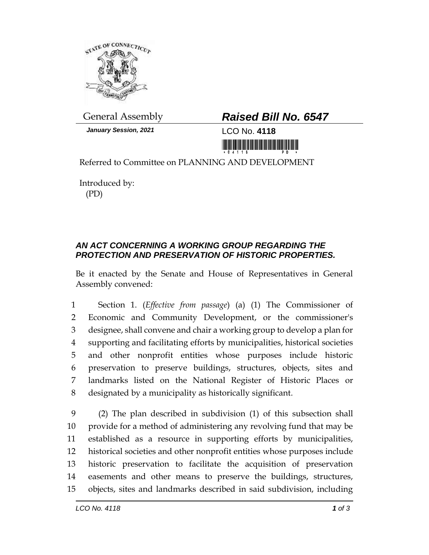

*January Session, 2021* LCO No. **4118**

## General Assembly *Raised Bill No. 6547*

Referred to Committee on PLANNING AND DEVELOPMENT

Introduced by: (PD)

## *AN ACT CONCERNING A WORKING GROUP REGARDING THE PROTECTION AND PRESERVATION OF HISTORIC PROPERTIES.*

Be it enacted by the Senate and House of Representatives in General Assembly convened:

 Section 1. (*Effective from passage*) (a) (1) The Commissioner of Economic and Community Development, or the commissioner's designee, shall convene and chair a working group to develop a plan for supporting and facilitating efforts by municipalities, historical societies and other nonprofit entities whose purposes include historic preservation to preserve buildings, structures, objects, sites and landmarks listed on the National Register of Historic Places or designated by a municipality as historically significant.

 (2) The plan described in subdivision (1) of this subsection shall provide for a method of administering any revolving fund that may be established as a resource in supporting efforts by municipalities, historical societies and other nonprofit entities whose purposes include historic preservation to facilitate the acquisition of preservation easements and other means to preserve the buildings, structures, objects, sites and landmarks described in said subdivision, including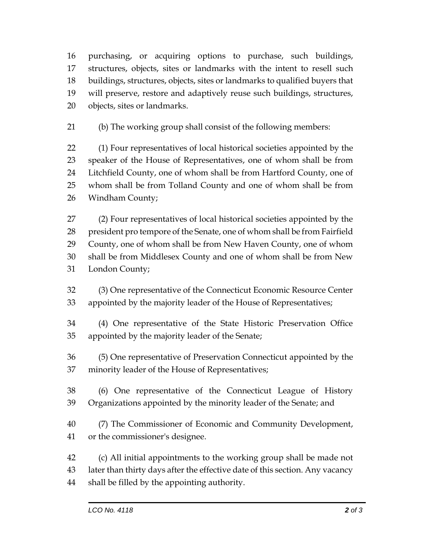purchasing, or acquiring options to purchase, such buildings, structures, objects, sites or landmarks with the intent to resell such buildings, structures, objects, sites or landmarks to qualified buyers that will preserve, restore and adaptively reuse such buildings, structures, objects, sites or landmarks.

(b) The working group shall consist of the following members:

 (1) Four representatives of local historical societies appointed by the speaker of the House of Representatives, one of whom shall be from Litchfield County, one of whom shall be from Hartford County, one of whom shall be from Tolland County and one of whom shall be from Windham County;

 (2) Four representatives of local historical societies appointed by the president pro tempore of the Senate, one of whom shall be from Fairfield County, one of whom shall be from New Haven County, one of whom shall be from Middlesex County and one of whom shall be from New London County;

 (3) One representative of the Connecticut Economic Resource Center appointed by the majority leader of the House of Representatives;

 (4) One representative of the State Historic Preservation Office appointed by the majority leader of the Senate;

 (5) One representative of Preservation Connecticut appointed by the minority leader of the House of Representatives;

 (6) One representative of the Connecticut League of History Organizations appointed by the minority leader of the Senate; and

 (7) The Commissioner of Economic and Community Development, or the commissioner's designee.

 (c) All initial appointments to the working group shall be made not later than thirty days after the effective date of this section. Any vacancy shall be filled by the appointing authority.